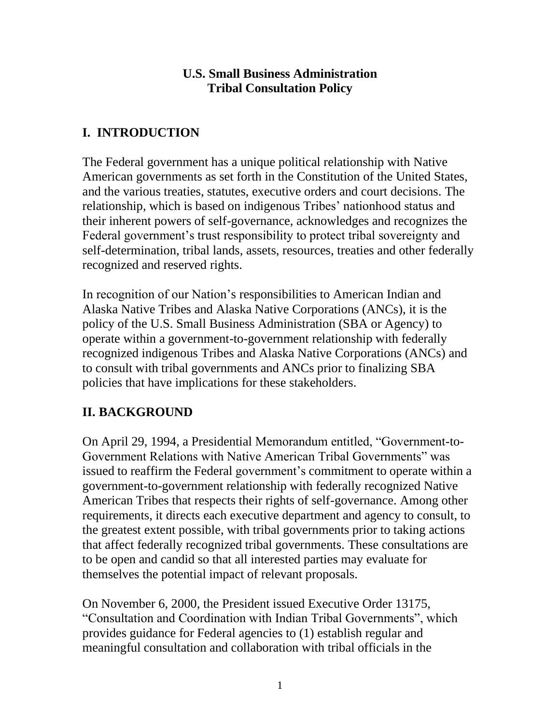#### **U.S. Small Business Administration Tribal Consultation Policy**

# **I. INTRODUCTION**

The Federal government has a unique political relationship with Native American governments as set forth in the Constitution of the United States, and the various treaties, statutes, executive orders and court decisions. The relationship, which is based on indigenous Tribes' nationhood status and their inherent powers of self-governance, acknowledges and recognizes the Federal government's trust responsibility to protect tribal sovereignty and self-determination, tribal lands, assets, resources, treaties and other federally recognized and reserved rights.

In recognition of our Nation's responsibilities to American Indian and Alaska Native Tribes and Alaska Native Corporations (ANCs), it is the policy of the U.S. Small Business Administration (SBA or Agency) to operate within a government-to-government relationship with federally recognized indigenous Tribes and Alaska Native Corporations (ANCs) and to consult with tribal governments and ANCs prior to finalizing SBA policies that have implications for these stakeholders.

# **II. BACKGROUND**

On April 29, 1994, a Presidential Memorandum entitled, "Government-to-Government Relations with Native American Tribal Governments" was issued to reaffirm the Federal government's commitment to operate within a government-to-government relationship with federally recognized Native American Tribes that respects their rights of self-governance. Among other requirements, it directs each executive department and agency to consult, to the greatest extent possible, with tribal governments prior to taking actions that affect federally recognized tribal governments. These consultations are to be open and candid so that all interested parties may evaluate for themselves the potential impact of relevant proposals.

On November 6, 2000, the President issued Executive Order 13175, "Consultation and Coordination with Indian Tribal Governments", which provides guidance for Federal agencies to (1) establish regular and meaningful consultation and collaboration with tribal officials in the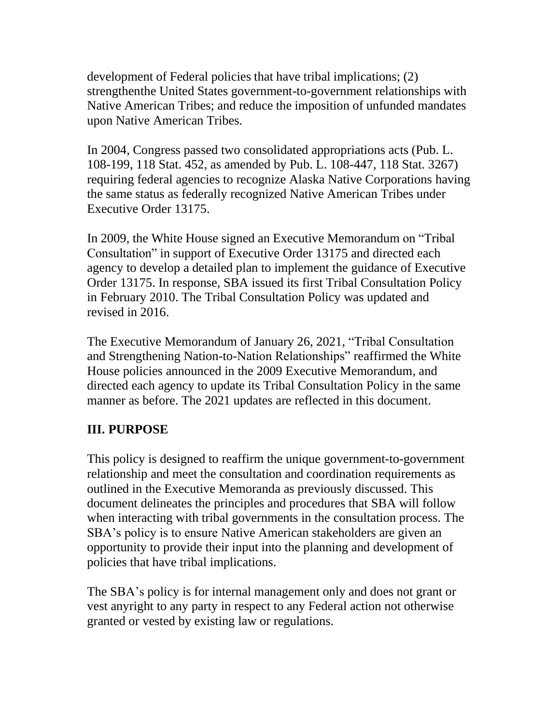development of Federal policies that have tribal implications; (2) strengthenthe United States government-to-government relationships with Native American Tribes; and reduce the imposition of unfunded mandates upon Native American Tribes.

In 2004, Congress passed two consolidated appropriations acts (Pub. L. 108-199, 118 Stat. 452, as amended by Pub. L. 108-447, 118 Stat. 3267) requiring federal agencies to recognize Alaska Native Corporations having the same status as federally recognized Native American Tribes under Executive Order 13175.

In 2009, the White House signed an Executive Memorandum on "Tribal Consultation" in support of Executive Order 13175 and directed each agency to develop a detailed plan to implement the guidance of Executive Order 13175. In response, SBA issued its first Tribal Consultation Policy in February 2010. The Tribal Consultation Policy was updated and revised in 2016.

The Executive Memorandum of January 26, 2021, "Tribal Consultation and Strengthening Nation-to-Nation Relationships" reaffirmed the White House policies announced in the 2009 Executive Memorandum, and directed each agency to update its Tribal Consultation Policy in the same manner as before. The 2021 updates are reflected in this document.

## **III. PURPOSE**

This policy is designed to reaffirm the unique government-to-government relationship and meet the consultation and coordination requirements as outlined in the Executive Memoranda as previously discussed. This document delineates the principles and procedures that SBA will follow when interacting with tribal governments in the consultation process. The SBA's policy is to ensure Native American stakeholders are given an opportunity to provide their input into the planning and development of policies that have tribal implications.

The SBA's policy is for internal management only and does not grant or vest anyright to any party in respect to any Federal action not otherwise granted or vested by existing law or regulations.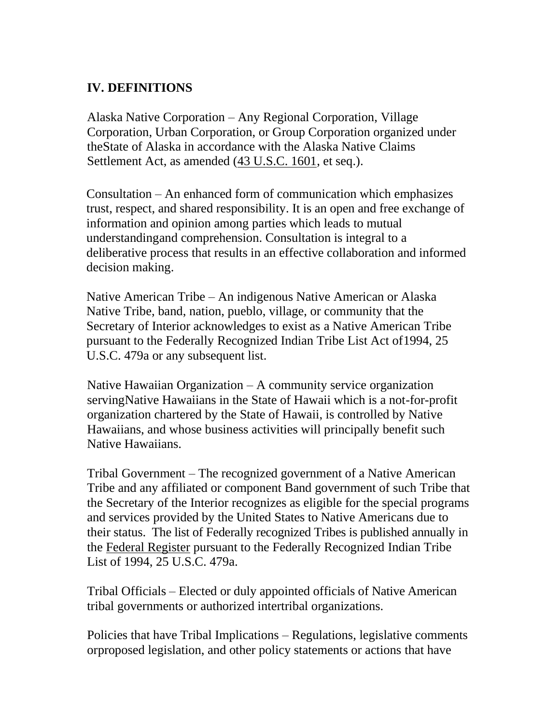## **IV. DEFINITIONS**

Alaska Native Corporation – Any Regional Corporation, Village Corporation, Urban Corporation, or Group Corporation organized under theState of Alaska in accordance with the Alaska Native Claims Settlement Act, as amended (43 U.S.C. 1601, et seq.).

Consultation – An enhanced form of communication which emphasizes trust, respect, and shared responsibility. It is an open and free exchange of information and opinion among parties which leads to mutual understandingand comprehension. Consultation is integral to a deliberative process that results in an effective collaboration and informed decision making.

Native American Tribe – An indigenous Native American or Alaska Native Tribe, band, nation, pueblo, village, or community that the Secretary of Interior acknowledges to exist as a Native American Tribe pursuant to the Federally Recognized Indian Tribe List Act of1994, 25 U.S.C. 479a or any subsequent list.

Native Hawaiian Organization – A community service organization servingNative Hawaiians in the State of Hawaii which is a not-for-profit organization chartered by the State of Hawaii, is controlled by Native Hawaiians, and whose business activities will principally benefit such Native Hawaiians.

Tribal Government – The recognized government of a Native American Tribe and any affiliated or component Band government of such Tribe that the Secretary of the Interior recognizes as eligible for the special programs and services provided by the United States to Native Americans due to their status. The list of Federally recognized Tribes is published annually in the Federal Register pursuant to the Federally Recognized Indian Tribe List of 1994, 25 U.S.C. 479a.

Tribal Officials – Elected or duly appointed officials of Native American tribal governments or authorized intertribal organizations.

Policies that have Tribal Implications – Regulations, legislative comments orproposed legislation, and other policy statements or actions that have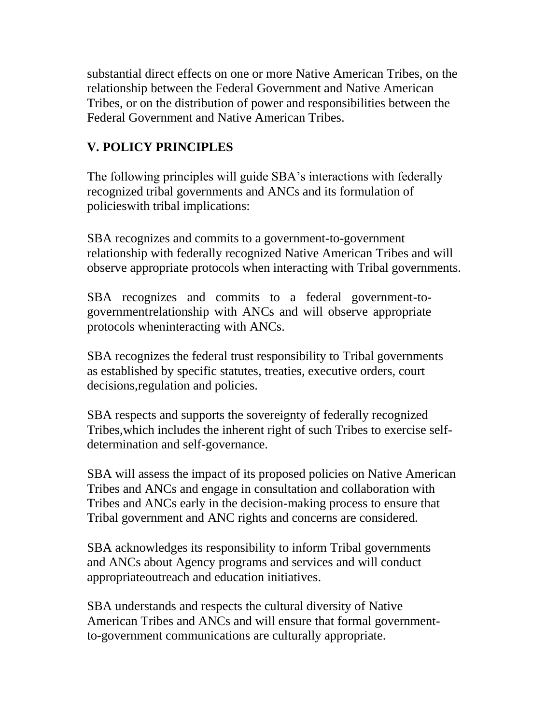substantial direct effects on one or more Native American Tribes, on the relationship between the Federal Government and Native American Tribes, or on the distribution of power and responsibilities between the Federal Government and Native American Tribes.

## **V. POLICY PRINCIPLES**

The following principles will guide SBA's interactions with federally recognized tribal governments and ANCs and its formulation of policieswith tribal implications:

SBA recognizes and commits to a government-to-government relationship with federally recognized Native American Tribes and will observe appropriate protocols when interacting with Tribal governments.

SBA recognizes and commits to a federal government-togovernmentrelationship with ANCs and will observe appropriate protocols wheninteracting with ANCs.

SBA recognizes the federal trust responsibility to Tribal governments as established by specific statutes, treaties, executive orders, court decisions,regulation and policies.

SBA respects and supports the sovereignty of federally recognized Tribes,which includes the inherent right of such Tribes to exercise selfdetermination and self-governance.

SBA will assess the impact of its proposed policies on Native American Tribes and ANCs and engage in consultation and collaboration with Tribes and ANCs early in the decision-making process to ensure that Tribal government and ANC rights and concerns are considered.

SBA acknowledges its responsibility to inform Tribal governments and ANCs about Agency programs and services and will conduct appropriateoutreach and education initiatives.

SBA understands and respects the cultural diversity of Native American Tribes and ANCs and will ensure that formal governmentto-government communications are culturally appropriate.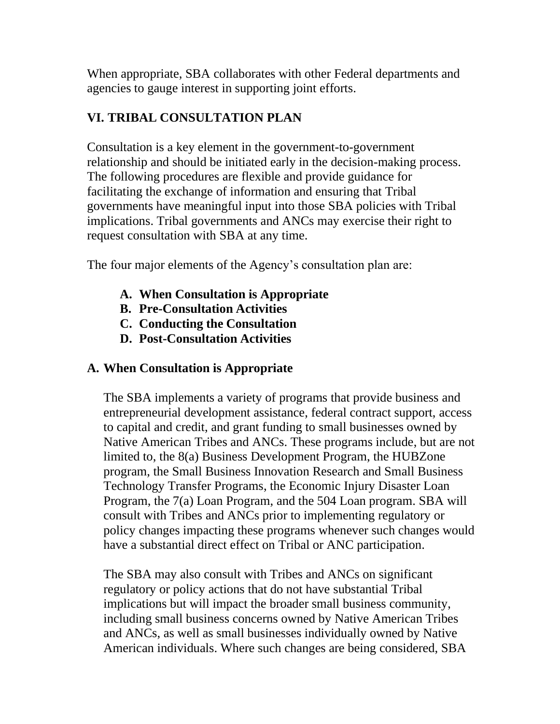When appropriate, SBA collaborates with other Federal departments and agencies to gauge interest in supporting joint efforts.

## **VI. TRIBAL CONSULTATION PLAN**

Consultation is a key element in the government-to-government relationship and should be initiated early in the decision-making process. The following procedures are flexible and provide guidance for facilitating the exchange of information and ensuring that Tribal governments have meaningful input into those SBA policies with Tribal implications. Tribal governments and ANCs may exercise their right to request consultation with SBA at any time.

The four major elements of the Agency's consultation plan are:

- **A. When Consultation is Appropriate**
- **B. Pre-Consultation Activities**
- **C. Conducting the Consultation**
- **D. Post-Consultation Activities**

## **A. When Consultation is Appropriate**

The SBA implements a variety of programs that provide business and entrepreneurial development assistance, federal contract support, access to capital and credit, and grant funding to small businesses owned by Native American Tribes and ANCs. These programs include, but are not limited to, the 8(a) Business Development Program, the HUBZone program, the Small Business Innovation Research and Small Business Technology Transfer Programs, the Economic Injury Disaster Loan Program, the 7(a) Loan Program, and the 504 Loan program. SBA will consult with Tribes and ANCs prior to implementing regulatory or policy changes impacting these programs whenever such changes would have a substantial direct effect on Tribal or ANC participation.

The SBA may also consult with Tribes and ANCs on significant regulatory or policy actions that do not have substantial Tribal implications but will impact the broader small business community, including small business concerns owned by Native American Tribes and ANCs, as well as small businesses individually owned by Native American individuals. Where such changes are being considered, SBA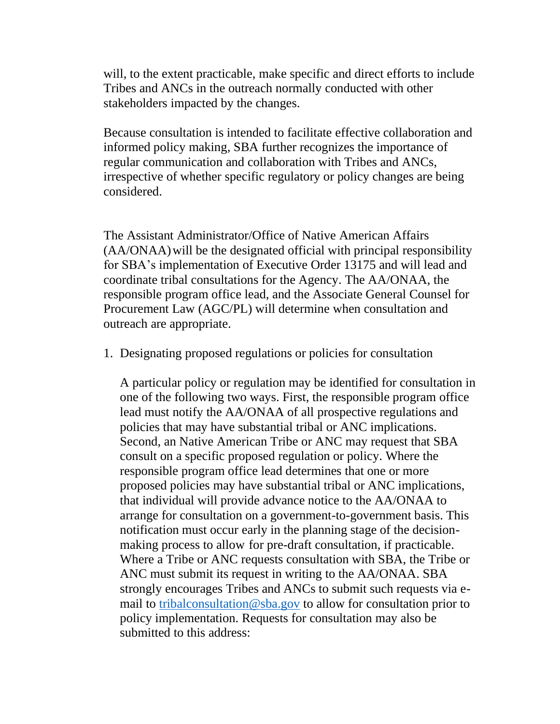will, to the extent practicable, make specific and direct efforts to include Tribes and ANCs in the outreach normally conducted with other stakeholders impacted by the changes.

Because consultation is intended to facilitate effective collaboration and informed policy making, SBA further recognizes the importance of regular communication and collaboration with Tribes and ANCs, irrespective of whether specific regulatory or policy changes are being considered.

The Assistant Administrator/Office of Native American Affairs (AA/ONAA) will be the designated official with principal responsibility for SBA's implementation of Executive Order 13175 and will lead and coordinate tribal consultations for the Agency. The AA/ONAA, the responsible program office lead, and the Associate General Counsel for Procurement Law (AGC/PL) will determine when consultation and outreach are appropriate.

1. Designating proposed regulations or policies for consultation

A particular policy or regulation may be identified for consultation in one of the following two ways. First, the responsible program office lead must notify the AA/ONAA of all prospective regulations and policies that may have substantial tribal or ANC implications. Second, an Native American Tribe or ANC may request that SBA consult on a specific proposed regulation or policy. Where the responsible program office lead determines that one or more proposed policies may have substantial tribal or ANC implications, that individual will provide advance notice to the AA/ONAA to arrange for consultation on a government-to-government basis. This notification must occur early in the planning stage of the decisionmaking process to allow for pre-draft consultation, if practicable. Where a Tribe or ANC requests consultation with SBA, the Tribe or ANC must submit its request in writing to the AA/ONAA. SBA strongly encourages Tribes and ANCs to submit such requests via email to [tribalconsultation@sba.gov](mailto:tribalconsultation@sba.gov) to allow for consultation prior to policy implementation. Requests for consultation may also be submitted to this address: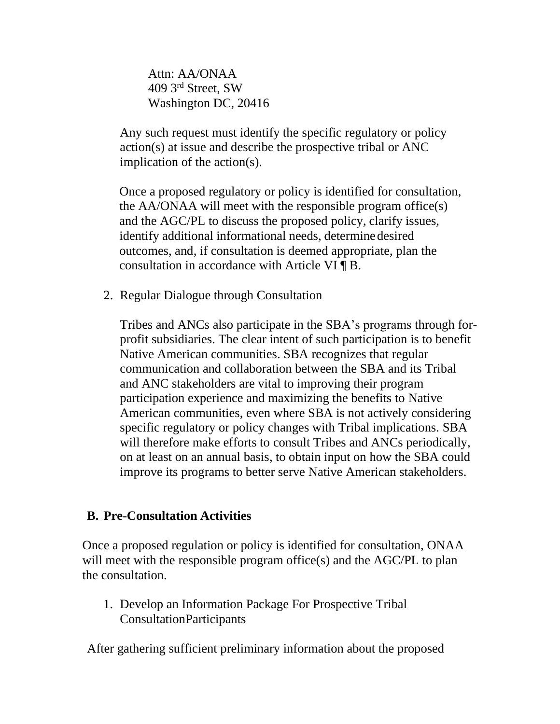Attn: AA/ONAA 409 3 rd Street, SW Washington DC, 20416

Any such request must identify the specific regulatory or policy action(s) at issue and describe the prospective tribal or ANC implication of the action(s).

Once a proposed regulatory or policy is identified for consultation, the AA/ONAA will meet with the responsible program office(s) and the AGC/PL to discuss the proposed policy, clarify issues, identify additional informational needs, determine desired outcomes, and, if consultation is deemed appropriate, plan the consultation in accordance with Article VI ¶ B.

2. Regular Dialogue through Consultation

Tribes and ANCs also participate in the SBA's programs through forprofit subsidiaries. The clear intent of such participation is to benefit Native American communities. SBA recognizes that regular communication and collaboration between the SBA and its Tribal and ANC stakeholders are vital to improving their program participation experience and maximizing the benefits to Native American communities, even where SBA is not actively considering specific regulatory or policy changes with Tribal implications. SBA will therefore make efforts to consult Tribes and ANCs periodically, on at least on an annual basis, to obtain input on how the SBA could improve its programs to better serve Native American stakeholders.

#### **B. Pre-Consultation Activities**

Once a proposed regulation or policy is identified for consultation, ONAA will meet with the responsible program office(s) and the AGC/PL to plan the consultation.

1. Develop an Information Package For Prospective Tribal ConsultationParticipants

After gathering sufficient preliminary information about the proposed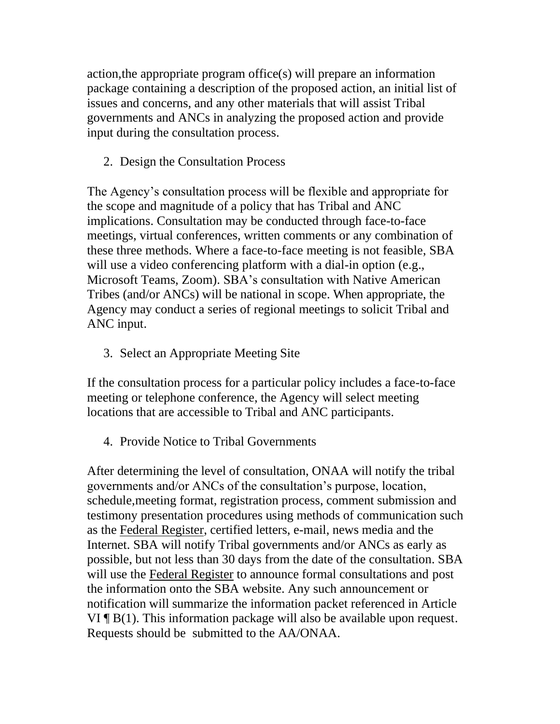action,the appropriate program office(s) will prepare an information package containing a description of the proposed action, an initial list of issues and concerns, and any other materials that will assist Tribal governments and ANCs in analyzing the proposed action and provide input during the consultation process.

2. Design the Consultation Process

The Agency's consultation process will be flexible and appropriate for the scope and magnitude of a policy that has Tribal and ANC implications. Consultation may be conducted through face-to-face meetings, virtual conferences, written comments or any combination of these three methods. Where a face-to-face meeting is not feasible, SBA will use a video conferencing platform with a dial-in option (e.g., Microsoft Teams, Zoom). SBA's consultation with Native American Tribes (and/or ANCs) will be national in scope. When appropriate, the Agency may conduct a series of regional meetings to solicit Tribal and ANC input.

3. Select an Appropriate Meeting Site

If the consultation process for a particular policy includes a face-to-face meeting or telephone conference, the Agency will select meeting locations that are accessible to Tribal and ANC participants.

4. Provide Notice to Tribal Governments

After determining the level of consultation, ONAA will notify the tribal governments and/or ANCs of the consultation's purpose, location, schedule,meeting format, registration process, comment submission and testimony presentation procedures using methods of communication such as the Federal Register, certified letters, e-mail, news media and the Internet. SBA will notify Tribal governments and/or ANCs as early as possible, but not less than 30 days from the date of the consultation. SBA will use the Federal Register to announce formal consultations and post the information onto the SBA website. Any such announcement or notification will summarize the information packet referenced in Article VI ¶ B(1). This information package will also be available upon request. Requests should be submitted to the AA/ONAA.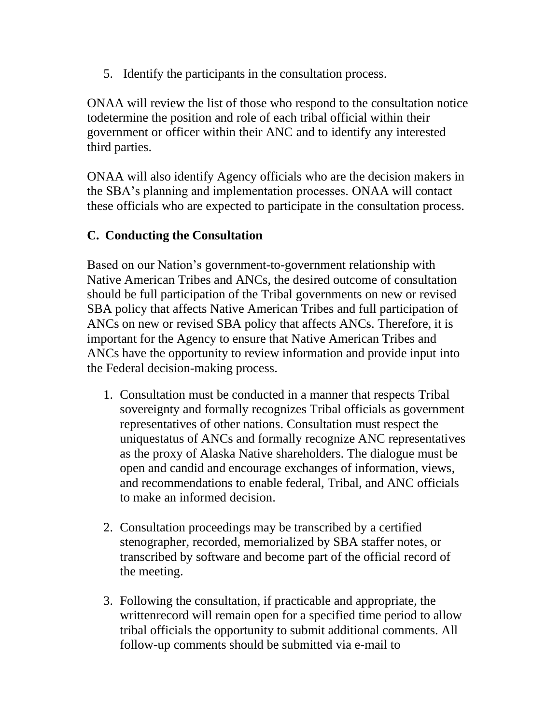5. Identify the participants in the consultation process.

ONAA will review the list of those who respond to the consultation notice todetermine the position and role of each tribal official within their government or officer within their ANC and to identify any interested third parties.

ONAA will also identify Agency officials who are the decision makers in the SBA's planning and implementation processes. ONAA will contact these officials who are expected to participate in the consultation process.

## **C. Conducting the Consultation**

Based on our Nation's government-to-government relationship with Native American Tribes and ANCs, the desired outcome of consultation should be full participation of the Tribal governments on new or revised SBA policy that affects Native American Tribes and full participation of ANCs on new or revised SBA policy that affects ANCs. Therefore, it is important for the Agency to ensure that Native American Tribes and ANCs have the opportunity to review information and provide input into the Federal decision-making process.

- 1. Consultation must be conducted in a manner that respects Tribal sovereignty and formally recognizes Tribal officials as government representatives of other nations. Consultation must respect the uniquestatus of ANCs and formally recognize ANC representatives as the proxy of Alaska Native shareholders. The dialogue must be open and candid and encourage exchanges of information, views, and recommendations to enable federal, Tribal, and ANC officials to make an informed decision.
- 2. Consultation proceedings may be transcribed by a certified stenographer, recorded, memorialized by SBA staffer notes, or transcribed by software and become part of the official record of the meeting.
- 3. Following the consultation, if practicable and appropriate, the writtenrecord will remain open for a specified time period to allow tribal officials the opportunity to submit additional comments. All follow-up comments should be submitted via e-mail to